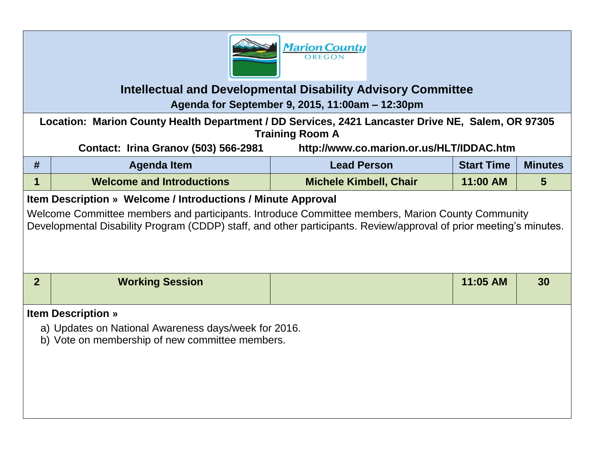

## **Intellectual and Developmental Disability Advisory Committee Agenda for September 9, 2015, 11:00am – 12:30pm**

**Location: Marion County Health Department / DD Services, 2421 Lancaster Drive NE, Salem, OR 97305 Training Room A**

**Contact: Irina Granov (503) 566-2981 http://www.co.marion.or.us/HLT/IDDAC.htm**

| #                                                                                                                                                                                                                      | <b>Agenda Item</b>               | <b>Lead Person</b>            | <b>Start Time</b> | <b>Minutes</b> |  |  |  |
|------------------------------------------------------------------------------------------------------------------------------------------------------------------------------------------------------------------------|----------------------------------|-------------------------------|-------------------|----------------|--|--|--|
|                                                                                                                                                                                                                        | <b>Welcome and Introductions</b> | <b>Michele Kimbell, Chair</b> | 11:00 AM          | 5              |  |  |  |
| Item Description » Welcome / Introductions / Minute Approval                                                                                                                                                           |                                  |                               |                   |                |  |  |  |
| Welcome Committee members and participants. Introduce Committee members, Marion County Community<br>Developmental Disability Program (CDDP) staff, and other participants. Review/approval of prior meeting's minutes. |                                  |                               |                   |                |  |  |  |

| <b>Working Session</b> | 11:05 AM | 30 |
|------------------------|----------|----|
|                        |          |    |

## **Item Description »**

- a) Updates on National Awareness days/week for 2016.
- b) Vote on membership of new committee members.